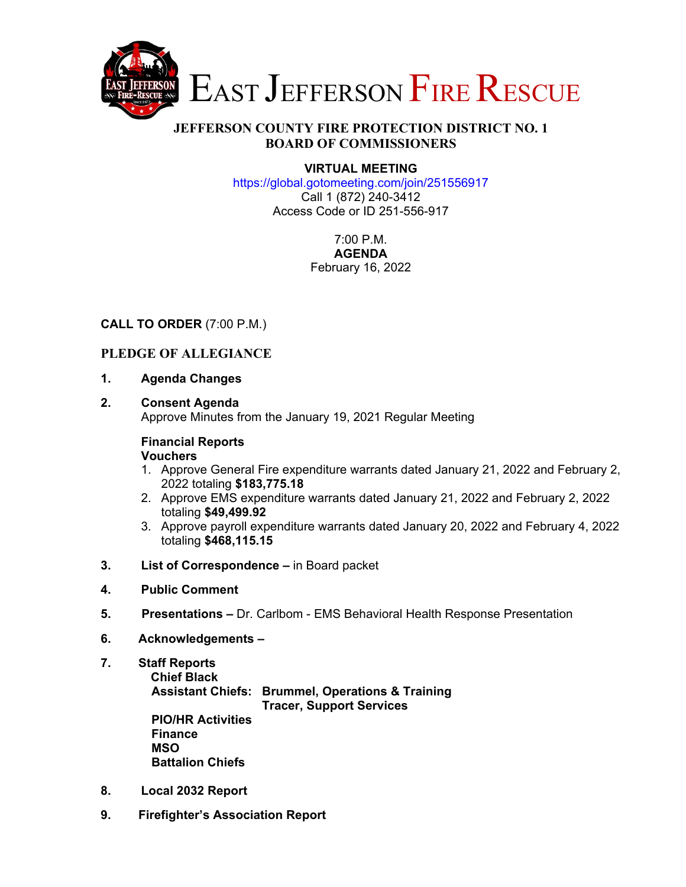

# **JEFFERSON COUNTY FIRE PROTECTION DISTRICT NO. 1 BOARD OF COMMISSIONERS**

#### **VIRTUAL MEETING**

https://global.gotomeeting.com/join/251556917 Call 1 (872) 240-3412 Access Code or ID 251-556-917

> 7:00 P.M. **AGENDA**  February 16, 2022

### **CALL TO ORDER** (7:00 P.M.)

# **PLEDGE OF ALLEGIANCE**

**1. Agenda Changes** 

#### **2. Consent Agenda**

Approve Minutes from the January 19, 2021 Regular Meeting

# **Financial Reports**

#### **Vouchers**

- 1. Approve General Fire expenditure warrants dated January 21, 2022 and February 2, 2022 totaling **\$183,775.18**
- 2. Approve EMS expenditure warrants dated January 21, 2022 and February 2, 2022 totaling **\$49,499.92**
- 3. Approve payroll expenditure warrants dated January 20, 2022 and February 4, 2022 totaling **\$468,115.15**
- **3. List of Correspondence** in Board packet
- **4. Public Comment**
- **5. Presentations** Dr. Carlbom EMS Behavioral Health Response Presentation
- **6. Acknowledgements**
- **7. Staff Reports Chief Black Assistant Chiefs: Brummel, Operations & Training Tracer, Support Services PIO/HR Activities Finance MSO Battalion Chiefs**
- **8. Local 2032 Report**
- **9. Firefighter's Association Report**